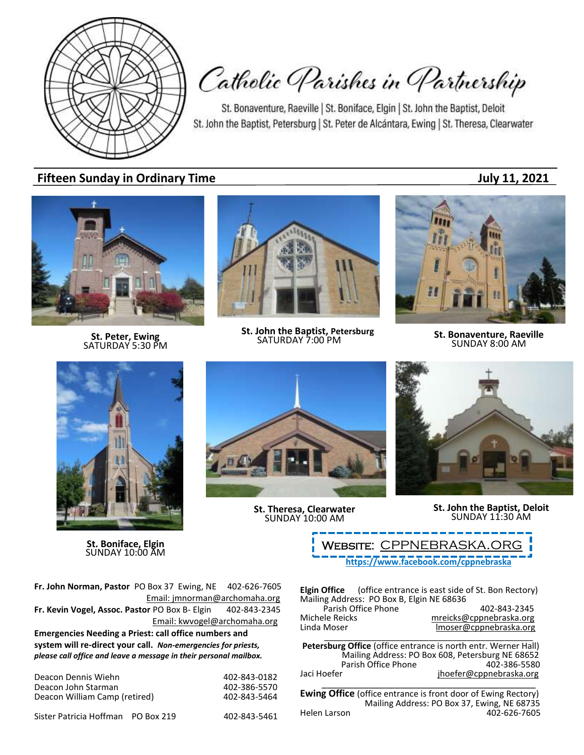

Catholic Parishes in Partnership

St. Bonaventure, Raeville | St. Boniface, Elgin | St. John the Baptist, Deloit St. John the Baptist, Petersburg | St. Peter de Alcántara, Ewing | St. Theresa, Clearwater

## **Fifteen Sunday in Ordinary Time July 11, 2021**



**St. Peter, Ewing** SATURDAY 5:30 PM



**St. John the Baptist, Petersburg**<br>SATURDAY 7:00 PM

**SATURDAY 7:00 PM St. Bonaventure, Raeville**<br>SATURDAY 7:00 PM **SUNDAY 8:00 AM** 



**St. Boniface, Elgin** SUNDAY 10:00 AM

**St. Theresa, Clearwater** SUNDAY 10:00 AM



**St. John the Baptist, Deloit** SUNDAY 11:30 AM

**<https://www.facebook.com/cppnebraska>** WEBSITE: CPPNEBRASKA.OR

**Fr. John Norman, Pastor** PO Box 37 Ewing, NE 402-626-7605 Email: jmnorman@archomaha.org **Fr. Kevin Vogel, Assoc. Pastor** PO Box B- Elgin 402-843-2345 Email: [kwvogel@archomaha.org](mailto:kwvogel@archomaha.org) **Emergencies Needing a Priest: call office numbers and system will re-direct your call.** *Non-emergencies for priests, please call office and leave a message in their personal mailbox.*

| Deacon Dennis Wiehn           | 402-843-0182 |
|-------------------------------|--------------|
| Deacon John Starman           | 402-386-5570 |
| Deacon William Camp (retired) | 402-843-5464 |

Sister Patricia Hoffman PO Box 219 402-843-5461

**Elgin Office** (office entrance is east side of St. Bon Rectory) Mailing Address: PO Box B, Elgin NE 68636 Parish Office Phone 402-843-2345<br>mreicks@cppnebraska.org metalsone Michele Reicks<br>
Linda Moser material moser@cppnebraska.org<br>
Imoser@cppnebraska.org Imoser@cppnebraska.org

\_\_\_\_\_\_\_\_\_\_\_\_\_\_\_\_\_\_\_\_\_\_\_\_\_\_\_\_\_\_\_\_\_\_\_\_\_\_\_\_\_\_\_\_ **Petersburg Office** (office entrance is north entr. Werner Hall) Mailing Address: PO Box 608, Petersburg NE 68652 Parish Office Phone Jaci Hoefer in the interface in the jhoefer@cppnebraska.org

\_\_\_\_\_\_\_\_\_\_\_\_\_\_\_\_\_\_\_\_\_\_\_\_\_\_\_\_\_\_\_\_\_\_\_\_\_\_\_\_\_ **Ewing Office** (office entrance is front door of Ewing Rectory) Mailing Address: PO Box 37, Ewing, NE 68735<br>Helen Larson 402-626-7605 402-626-7605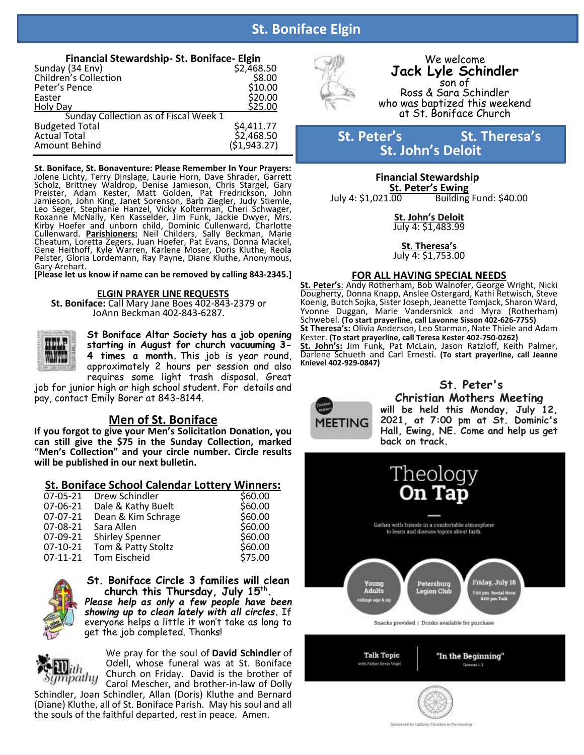# **St. Boniface Elgin**

Ī

| Financial Stewardship- St. Boniface- Elgin |              |  |  |  |
|--------------------------------------------|--------------|--|--|--|
| Sunday (34 Env)                            | \$2,468.50   |  |  |  |
| Children's Collection                      | \$8.00       |  |  |  |
| Peter's Pence                              | \$10.00      |  |  |  |
| Easter                                     | \$20.00      |  |  |  |
| <b>Holy Day</b>                            | \$25.00      |  |  |  |
| Sunday Collection as of Fiscal Week 1      |              |  |  |  |
| <b>Budgeted Total</b>                      | \$4,411.77   |  |  |  |
| <b>Actual Total</b>                        | \$2,468.50   |  |  |  |
| Amount Behind                              | (51, 943.27) |  |  |  |

**St. Boniface, St. Bonaventure: Please Remember In Your Prayers:** Jolene Lichty, Terry Dinslage, Laurie Horn, Dave Shrader, Garrett Scholz, Brittney Waldrop, Denise Jamieson, Chris Stargel, Gary Preister, Adam Kester, Matt Golden, Pat Fredrickson, John Jamieson, John King, Janet Sorenson, Barb Ziegler, Judy Stiemle, Leo Seger, Stephanie Hanzel, Vicky Kolterman, Cheri Schwager, Roxanne McNally, Ken Kasselder, Jim Funk, Jackie Dwyer, Mrs. Kirby Hoefer and unborn child, Dominic Cullenward, Charlotte Cullenward. **Parishioners:** Neil Childers, Sally Beckman, Marie Cheatum, Loretta Zegers, Juan Hoefer, Pat Evans, Donna Mackel, Gene Heithoff, Kyle Warren, Karlene Moser, Doris Kluthe, Reola Pelster, Gloria Lordemann, Ray Payne, Diane Kluthe, Anonymous, Gary Arehart.

**[Please let us know if name can be removed by calling 843-2345.]**

### **ELGIN PRAYER LINE REQUESTS**

**St. Boniface:** Call Mary Jane Boes 402-843-2379 or JoAnn Beckman 402-843-6287.

> **St Boniface Altar Society has a job opening starting in August for church vacuuming 3- 4 times a month.** This job is year round, approximately 2 hours per session and also requires some light trash disposal. Great

job for junior high or high school student. For details and pay, contact Emily Borer at 843-8144.

### **Men of St. Boniface**

**If you forgot to give your Men's Solicitation Donation, you can still give the \$75 in the Sunday Collection, marked "Men's Collection" and your circle number. Circle results will be published in our next bulletin.**

### **St. Boniface School Calendar Lottery Winners:**

| Drew Schindler         | \$60.00 |
|------------------------|---------|
| Dale & Kathy Buelt     | \$60.00 |
| Dean & Kim Schrage     | \$60.00 |
| Sara Allen             | \$60.00 |
| <b>Shirley Spenner</b> | \$60.00 |
| Tom & Patty Stoltz     | \$60.00 |
| <b>Tom Eischeid</b>    | \$75.00 |
|                        |         |



İ

**St. Boniface Circle 3 families will clean church this Thursday, July 15th .** *Please help as only a few people have been showing up to clean lately with all circles.* If everyone helps a little it won't take as long to get the job completed. Thanks!

mpathy

We pray for the soul of **David Schindler** of Odell, whose funeral was at St. Boniface Church on Friday. David is the brother of Carol Mescher, and brother-in-law of Dolly

Schindler, Joan Schindler, Allan (Doris) Kluthe and Bernard (Diane) Kluthe, all of St. Boniface Parish. May his soul and all the souls of the faithful departed, rest in peace. Amen.



**MEETING** 

### We welcome **Jack Lyle Schindler** son of Ross & Sara Schindler who was baptized this weekend at St. Boniface Church

## **St.** Peter's St. Theresa's **St. John's Deloit**

 **Financial Stewardship St. Peter's Ewing**  Building Fund: \$40.00

> **St. John's Deloit** July 4: \$1,483.99

> **St. Theresa's** July 4: \$1,753.00

### **FOR ALL HAVING SPECIAL NEEDS**

**St. Peter's**: Andy Rotherham, Bob Walnofer, George Wright, Nicki Dougherty, Donna Knapp, Anslee Ostergard, Kathi Retwisch, Steve Koenig, Butch Sojka, Sister Joseph, Jeanette Tomjack, Sharon Ward, Yvonne Duggan, Marie Vandersnick and Myra (Rotherham) Schwebel. **(To start prayerline, call Lavonne Sisson 402-626-7755) St Theresa's:** Olivia Anderson, Leo Starman, Nate Thiele and Adam Kester. **(To start prayerline, call Teresa Kester 402-750-0262) St. John's:** Jim Funk, Pat McLain, Jason Ratzloff, Keith Palmer, Darlene Schueth and Carl Ernesti. **(To start prayerline, call Jeanne Knievel 402-929-0847)**

> **St. Peter's Christian Mothers Meeting will be held this Monday, July 12, 2021, at 7:00 pm at St. Dominic's Hall, Ewing, NE. Come and help us get**



red by Cathaila: Panishan to Par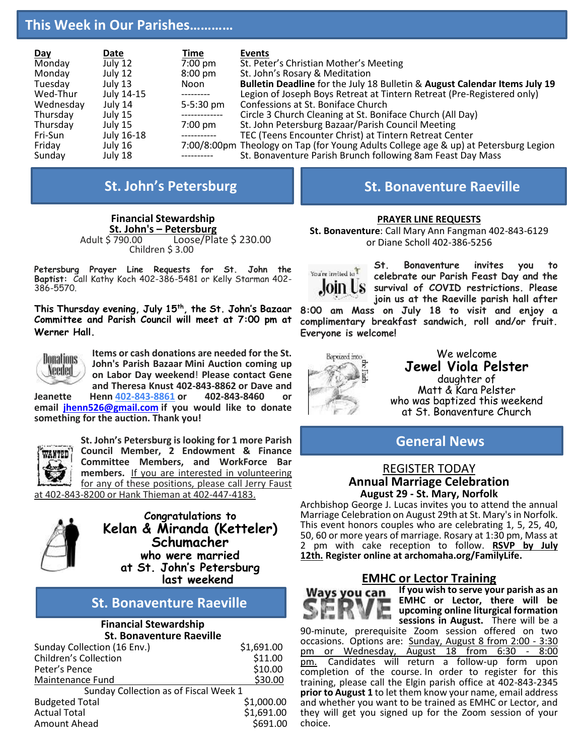## **This Week in Our Parishes…………**

| <b>Day</b> | Date       | Time              | <b>Events</b>                                                                        |
|------------|------------|-------------------|--------------------------------------------------------------------------------------|
| Monday     | July 12    | $7:00$ pm         | St. Peter's Christian Mother's Meeting                                               |
| Monday     | July 12    | $8:00 \text{ pm}$ | St. John's Rosary & Meditation                                                       |
| Tuesday    | July 13    | Noon              | Bulletin Deadline for the July 18 Bulletin & August Calendar Items July 19           |
| Wed-Thur   | July 14-15 | ----------        | Legion of Joseph Boys Retreat at Tintern Retreat (Pre-Registered only)               |
| Wednesday  | July 14    | 5-5:30 pm         | Confessions at St. Boniface Church                                                   |
| Thursday   | July 15    | -------------     | Circle 3 Church Cleaning at St. Boniface Church (All Day)                            |
| Thursday   | July 15    | $7:00 \text{ pm}$ | St. John Petersburg Bazaar/Parish Council Meeting                                    |
| Fri-Sun    | July 16-18 | ------------      | TEC (Teens Encounter Christ) at Tintern Retreat Center                               |
| Friday     | July 16    |                   | 7:00/8:00pm Theology on Tap (for Young Adults College age & up) at Petersburg Legion |
| Sunday     | July 18    |                   | St. Bonaventure Parish Brunch following 8am Feast Day Mass                           |

**Financial Stewardship St. John's – Petersburg**  $Loose/Plate$  \$ 230.00 Children \$ 3.00

**Petersburg Prayer Line Requests for St. John the Baptist:** Call Kathy Koch 402-386-5481 or Kelly Starman 402- 386-5570.

**This Thursday evening, July 15th , the St. John's Bazaar Committee and Parish Council will meet at 7:00 pm at Werner Hall.**



**Items or cash donations are needed for the St. John's Parish Bazaar Mini Auction coming up on Labor Day weekend**! **Please contact Gene and Theresa Knust 402-843-8862 or Dave and**

**Jeanette Henn [402-843-8861](tel:402-386-5507) or 402-843-8460 or email [jhenn526@gmail.com](mailto:jhenn526@gmail.com) if you would like to donate something for the auction. Thank you!**



**St. John's Petersburg is looking for 1 more Parish Council Member, 2 Endowment & Finance Committee Members, and WorkForce Bar members.** If you are interested in volunteering for any of these positions, please call Jerry Faust

at 402-843-8200 or Hank Thieman at 402-447-4183.



**Congratulations to Kelan & Miranda (Ketteler) Schumacher who were married at St. John's Petersburg last weekend**

# **St. Bonaventure Raeville**

### **Financial Stewardship St. Bonaventure Raeville**

| Sunday Collection (16 Env.)           | \$1,691.00 |
|---------------------------------------|------------|
| <b>Children's Collection</b>          | \$11.00    |
| Peter's Pence                         | \$10.00    |
| Maintenance Fund                      | \$30.00    |
| Sunday Collection as of Fiscal Week 1 |            |
| <b>Budgeted Total</b>                 | \$1,000.00 |
| <b>Actual Total</b>                   | \$1,691.00 |
| Amount Ahead                          | \$691.00   |
|                                       |            |

# **St. John's Petersburg St. Bonaventure Raeville**

## **PRAYER LINE REQUESTS**

**St. Bonaventure**: Call Mary Ann Fangman 402-843-6129 or Diane Scholl 402-386-5256



**St. Bonaventure invites you to celebrate our Parish Feast Day and the survival of COVID restrictions. Please join us at the Raeville parish hall after** 

**8:00 am Mass on July 18 to visit and enjoy a complimentary breakfast sandwich, roll and/or fruit. Everyone is welcome!**



We welcome **Jewel Viola Pelster** daughter of Matt & Kara Pelster who was baptized this weekend at St. Bonaventure Church

**General News**

## REGISTER TODAY **Annual Marriage Celebration August 29 - St. Mary, Norfolk**

Archbishop George J. Lucas invites you to attend the annual Marriage Celebration on August 29th at St. Mary's in Norfolk. This event honors couples who are celebrating 1, 5, 25, 40, 50, 60 or more years of marriage. Rosary at 1:30 pm, Mass at 2 pm with cake reception to follow. **RSVP by July 12th. Register online at archomaha.org/FamilyLife.**

## **EMHC or Lector Training**



**If you wish to serve your parish as an EMHC or Lector, there will be upcoming online liturgical formation sessions in August.** There will be a

90-minute, prerequisite Zoom session offered on two occasions. Options are: Sunday, August 8 from 2:00 - 3:30 pm or Wednesday, August 18 from 6:30 - 8:00 pm. Candidates will return a follow-up form upon completion of the course. In order to register for this training, please call the Elgin parish office at 402-843-2345 **prior to August 1** to let them know your name, email address and whether you want to be trained as EMHC or Lector, and they will get you signed up for the Zoom session of your choice.